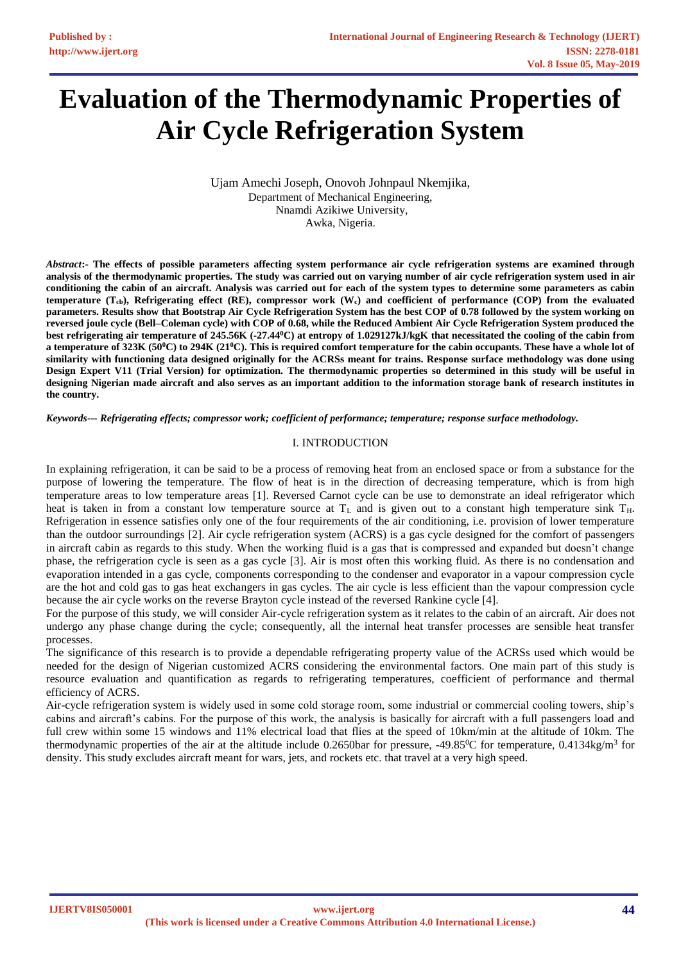# **Evaluation of the Thermodynamic Properties of Air Cycle Refrigeration System**

Ujam Amechi Joseph, Onovoh Johnpaul Nkemjika, Department of Mechanical Engineering, Nnamdi Azikiwe University, Awka, Nigeria.

*Abstract***:- The effects of possible parameters affecting system performance air cycle refrigeration systems are examined through analysis of the thermodynamic properties. The study was carried out on varying number of air cycle refrigeration system used in air conditioning the cabin of an aircraft. Analysis was carried out for each of the system types to determine some parameters as cabin temperature (Tcb), Refrigerating effect (RE), compressor work (Wc) and coefficient of performance (COP) from the evaluated parameters. Results show that Bootstrap Air Cycle Refrigeration System has the best COP of 0.78 followed by the system working on reversed joule cycle (Bell–Coleman cycle) with COP of 0.68, while the Reduced Ambient Air Cycle Refrigeration System produced the best refrigerating air temperature of 245.56K (-27.44<sup>0</sup>C) at entropy of 1.029127kJ/kgK that necessitated the cooling of the cabin from a temperature of 323K (50<sup>0</sup>C) to 294K (21<sup>0</sup>C). This is required comfort temperature for the cabin occupants. These have a whole lot of similarity with functioning data designed originally for the ACRSs meant for trains. Response surface methodology was done using Design Expert V11 (Trial Version) for optimization. The thermodynamic properties so determined in this study will be useful in designing Nigerian made aircraft and also serves as an important addition to the information storage bank of research institutes in the country.**

*Keywords--- Refrigerating effects; compressor work; coefficient of performance; temperature; response surface methodology.*

# I. INTRODUCTION

In explaining refrigeration, it can be said to be a process of removing heat from an enclosed space or from a substance for the purpose of lowering the temperature. The flow of heat is in the direction of decreasing temperature, which is from high temperature areas to low temperature areas [1]. Reversed Carnot cycle can be use to demonstrate an ideal refrigerator which heat is taken in from a constant low temperature source at  $T_L$  and is given out to a constant high temperature sink  $T_H$ . Refrigeration in essence satisfies only one of the four requirements of the air conditioning, i.e. provision of lower temperature than the outdoor surroundings [2]. Air cycle refrigeration system (ACRS) is a gas cycle designed for the comfort of passengers in aircraft cabin as regards to this study. When the working fluid is a gas that is compressed and expanded but doesn't change phase, the refrigeration cycle is seen as a gas cycle [3]. Air is most often this working fluid. As there is no condensation and evaporation intended in a gas cycle, components corresponding to the condenser and evaporator in a vapour compression cycle are the hot and cold gas to gas heat exchangers in gas cycles. The air cycle is less efficient than the vapour compression cycle because the air cycle works on the reverse Brayton cycle instead of the reversed Rankine cycle [4].

For the purpose of this study, we will consider Air-cycle refrigeration system as it relates to the cabin of an aircraft. Air does not undergo any phase change during the cycle; consequently, all the internal heat transfer processes are sensible heat transfer processes.

The significance of this research is to provide a dependable refrigerating property value of the ACRSs used which would be needed for the design of Nigerian customized ACRS considering the environmental factors. One main part of this study is resource evaluation and quantification as regards to refrigerating temperatures, coefficient of performance and thermal efficiency of ACRS.

Air-cycle refrigeration system is widely used in some cold storage room, some industrial or commercial cooling towers, ship's cabins and aircraft's cabins. For the purpose of this work, the analysis is basically for aircraft with a full passengers load and full crew within some 15 windows and 11% electrical load that flies at the speed of 10km/min at the altitude of 10km. The thermodynamic properties of the air at the altitude include 0.2650bar for pressure, -49.85<sup>0</sup>C for temperature, 0.4134kg/m<sup>3</sup> for density. This study excludes aircraft meant for wars, jets, and rockets etc. that travel at a very high speed.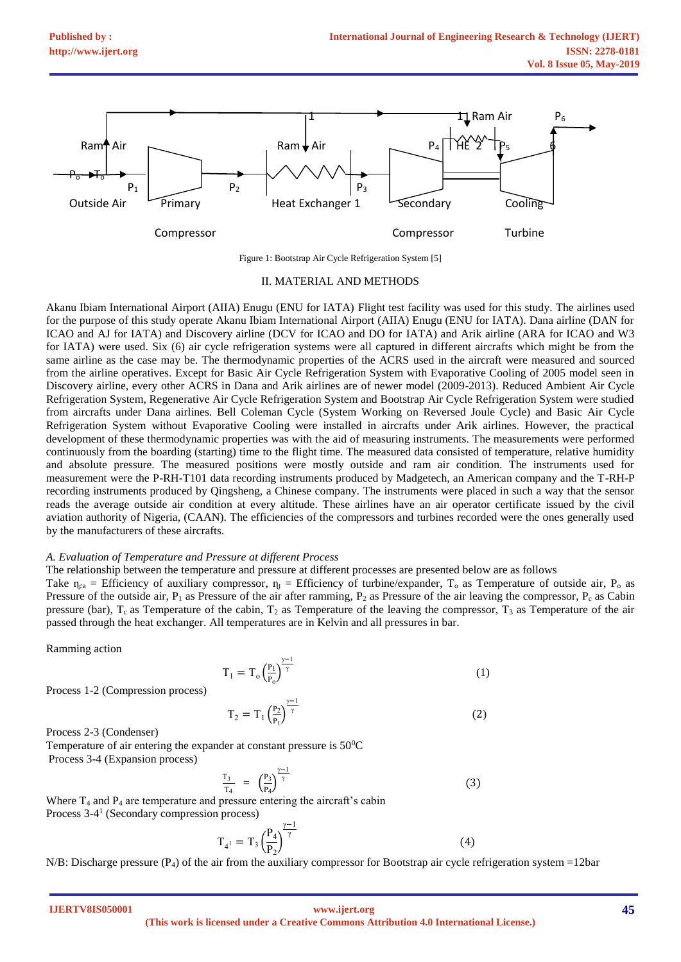

Figure 1: Bootstrap Air Cycle Refrigeration System [5]

### II. MATERIAL AND METHODS

Akanu Ibiam International Airport (AIIA) Enugu (ENU for IATA) Flight test facility was used for this study. The airlines used for the purpose of this study operate Akanu Ibiam International Airport (AIIA) Enugu (ENU for IATA). Dana airline (DAN for ICAO and AJ for IATA) and Discovery airline (DCV for ICAO and DO for IATA) and Arik airline (ARA for ICAO and W3 for IATA) were used. Six (6) air cycle refrigeration systems were all captured in different aircrafts which might be from the same airline as the case may be. The thermodynamic properties of the ACRS used in the aircraft were measured and sourced from the airline operatives. Except for Basic Air Cycle Refrigeration System with Evaporative Cooling of 2005 model seen in Discovery airline, every other ACRS in Dana and Arik airlines are of newer model (2009-2013). Reduced Ambient Air Cycle Refrigeration System, Regenerative Air Cycle Refrigeration System and Bootstrap Air Cycle Refrigeration System were studied from aircrafts under Dana airlines. Bell Coleman Cycle (System Working on Reversed Joule Cycle) and Basic Air Cycle Refrigeration System without Evaporative Cooling were installed in aircrafts under Arik airlines. However, the practical development of these thermodynamic properties was with the aid of measuring instruments. The measurements were performed continuously from the boarding (starting) time to the flight time. The measured data consisted of temperature, relative humidity and absolute pressure. The measured positions were mostly outside and ram air condition. The instruments used for measurement were the P-RH-T101 data recording instruments produced by Madgetech, an American company and the T-RH-P recording instruments produced by Qingsheng, a Chinese company. The instruments were placed in such a way that the sensor reads the average outside air condition at every altitude. These airlines have an air operator certificate issued by the civil aviation authority of Nigeria, (CAAN). The efficiencies of the compressors and turbines recorded were the ones generally used by the manufacturers of these aircrafts.

#### *A. Evaluation of Temperature and Pressure at different Process*

The relationship between the temperature and pressure at different processes are presented below are as follows

Take  $\eta_{ca}$  = Efficiency of auxiliary compressor,  $\eta_t$  = Efficiency of turbine/expander,  $T_0$  as Temperature of outside air,  $P_0$  as Pressure of the outside air,  $P_1$  as Pressure of the air after ramming,  $P_2$  as Pressure of the air leaving the compressor,  $P_c$  as Cabin pressure (bar),  $T_c$  as Temperature of the cabin,  $T_2$  as Temperature of the leaving the compressor,  $T_3$  as Temperature of the air passed through the heat exchanger. All temperatures are in Kelvin and all pressures in bar.

Ramming action

$$
T_1 = T_o \left(\frac{P_1}{P_o}\right)^{\frac{\gamma - 1}{\gamma}}
$$
\n<sup>(1)</sup>

Process 1-2 (Compression process)

$$
T_2 = T_1 \left(\frac{P_2}{P_1}\right)^{\frac{\gamma - 1}{\gamma}}
$$
 (2)

Process 2-3 (Condenser)

Temperature of air entering the expander at constant pressure is  $50^{\circ}$ C Process 3-4 (Expansion process)

$$
\frac{T_3}{T_4} = \left(\frac{P_3}{P_4}\right)^{\frac{\gamma - 1}{\gamma}}
$$
\n(3)

Where  $T_4$  and  $P_4$  are temperature and pressure entering the aircraft's cabin Process 3-4 1 (Secondary compression process)

$$
T_{4} = T_3 \left(\frac{P_4}{P_2}\right)^{\frac{\gamma - 1}{\gamma}}
$$
 (4)

N/B: Discharge pressure  $(P_4)$  of the air from the auxiliary compressor for Bootstrap air cycle refrigeration system =12bar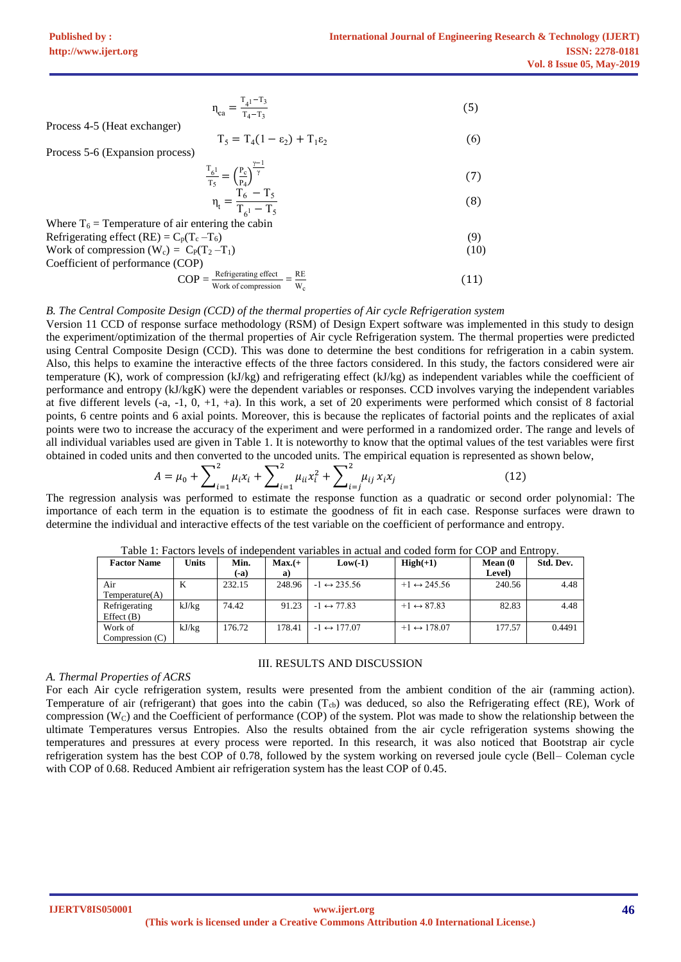$$
n_{ca} = \frac{T_{4}^{1 - T_{3}}}{T_{4} - T_{3}}
$$
\n(5)

Process 4-5 (Heat exchanger)

$$
T_5 = T_4(1 - \varepsilon_2) + T_1 \varepsilon_2 \tag{6}
$$

Process 5-6 (Expansion process)

$$
\frac{\Gamma_{61}}{T_5} = \left(\frac{P_c}{P_4}\right)^{\frac{\gamma - 1}{\gamma}}
$$
\n
$$
\eta_t = \frac{T_6 - T_5}{T_1 - T_5}
$$
\n(8)

Where 
$$
T_6 =
$$
 Temperature of air entering the cabin Ref 17s

\nRefrigerating effect (RE) =  $C_p(T_c - T_6)$ 

\nWork of compression (W<sub>c</sub>) =  $C_p(T_2 - T_1)$ 

\nCoefficient of performance (COP)

\n(10)

T 6

$$
COP = \frac{\text{Refrigerating effect}}{\text{Work of compression}} = \frac{\text{RE}}{W_c}
$$
(11)

### *B. The Central Composite Design (CCD) of the thermal properties of Air cycle Refrigeration system*

Version 11 CCD of response surface methodology (RSM) of Design Expert software was implemented in this study to design the experiment/optimization of the thermal properties of Air cycle Refrigeration system. The thermal properties were predicted using Central Composite Design (CCD). This was done to determine the best conditions for refrigeration in a cabin system. Also, this helps to examine the interactive effects of the three factors considered. In this study, the factors considered were air temperature (K), work of compression (kJ/kg) and refrigerating effect (kJ/kg) as independent variables while the coefficient of performance and entropy (kJ/kgK) were the dependent variables or responses. CCD involves varying the independent variables at five different levels  $(-a, -1, 0, +1, +a)$ . In this work, a set of 20 experiments were performed which consist of 8 factorial points, 6 centre points and 6 axial points. Moreover, this is because the replicates of factorial points and the replicates of axial points were two to increase the accuracy of the experiment and were performed in a randomized order. The range and levels of all individual variables used are given in Table 1. It is noteworthy to know that the optimal values of the test variables were first obtained in coded units and then converted to the uncoded units. The empirical equation is represented as shown below,

$$
A = \mu_0 + \sum_{i=1}^{2} \mu_i x_i + \sum_{i=1}^{2} \mu_{ii} x_i^2 + \sum_{i=j}^{2} \mu_{ij} x_i x_j
$$
 (12)

The regression analysis was performed to estimate the response function as a quadratic or second order polynomial: The importance of each term in the equation is to estimate the goodness of fit in each case. Response surfaces were drawn to determine the individual and interactive effects of the test variable on the coefficient of performance and entropy.

| <b>Factor Name</b>            | Units | Min.<br>$(-a)$ | $Max.(+$<br>a) | $Low(-1)$                   | $High(+1)$                  | Mean (0<br>Level) | Std. Dev. |
|-------------------------------|-------|----------------|----------------|-----------------------------|-----------------------------|-------------------|-----------|
| Air<br>Temperature(A)         | K     | 232.15         | 248.96         | $-1 \leftrightarrow 235.56$ | $+1 \leftrightarrow 245.56$ | 240.56            | 4.48      |
| Refrigerating<br>Effect $(B)$ | kJ/kg | 74.42          | 91.23          | $-1 \leftrightarrow 77.83$  | $+1 \leftrightarrow 87.83$  | 82.83             | 4.48      |
| Work of<br>Compression (C)    | kJ/kg | 176.72         | 178.41         | $-1 \leftrightarrow 177.07$ | $+1 \leftrightarrow 178.07$ | 177.57            | 0.4491    |

Table 1: Factors levels of independent variables in actual and coded form for COP and Entropy.

### *A. Thermal Properties of ACRS*

For each Air cycle refrigeration system, results were presented from the ambient condition of the air (ramming action). Temperature of air (refrigerant) that goes into the cabin (T<sub>cb</sub>) was deduced, so also the Refrigerating effect (RE), Work of compression (W<sub>C</sub>) and the Coefficient of performance (COP) of the system. Plot was made to show the relationship between the ultimate Temperatures versus Entropies. Also the results obtained from the air cycle refrigeration systems showing the temperatures and pressures at every process were reported. In this research, it was also noticed that Bootstrap air cycle refrigeration system has the best COP of 0.78, followed by the system working on reversed joule cycle (Bell– Coleman cycle with COP of 0.68. Reduced Ambient air refrigeration system has the least COP of 0.45.

III. RESULTS AND DISCUSSION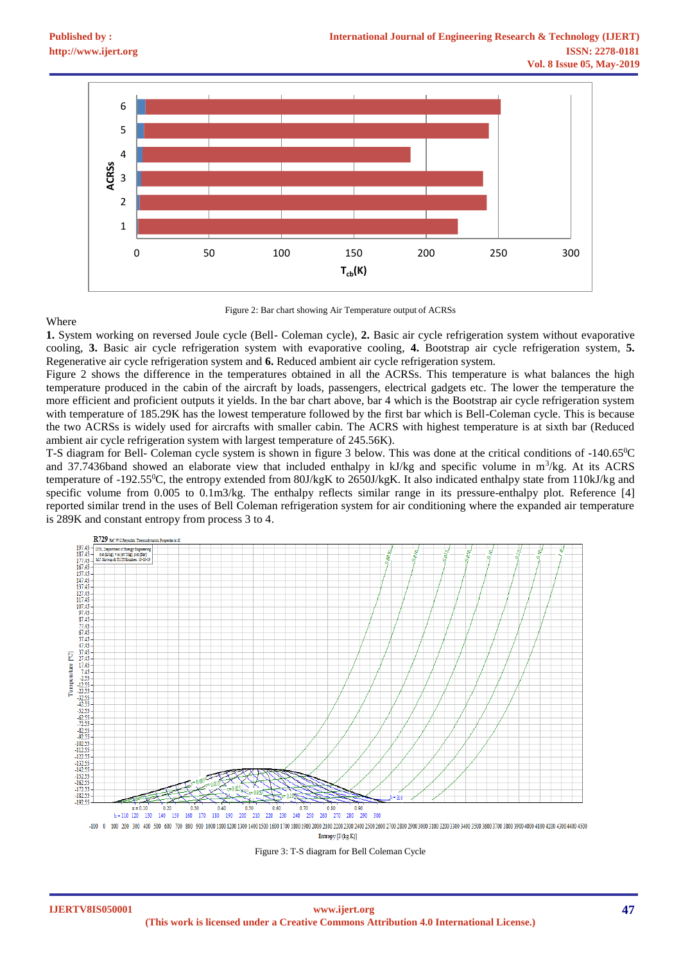

Figure 2: Bar chart showing Air Temperature output of ACRSs

# Where

**1.** System working on reversed Joule cycle (Bell- Coleman cycle), **2.** Basic air cycle refrigeration system without evaporative cooling, **3.** Basic air cycle refrigeration system with evaporative cooling, **4.** Bootstrap air cycle refrigeration system, **5.** Regenerative air cycle refrigeration system and **6.** Reduced ambient air cycle refrigeration system.

Figure 2 shows the difference in the temperatures obtained in all the ACRSs. This temperature is what balances the high temperature produced in the cabin of the aircraft by loads, passengers, electrical gadgets etc. The lower the temperature the more efficient and proficient outputs it yields. In the bar chart above, bar 4 which is the Bootstrap air cycle refrigeration system with temperature of 185.29K has the lowest temperature followed by the first bar which is Bell-Coleman cycle. This is because the two ACRSs is widely used for aircrafts with smaller cabin. The ACRS with highest temperature is at sixth bar (Reduced ambient air cycle refrigeration system with largest temperature of 245.56K).

T-S diagram for Bell- Coleman cycle system is shown in figure 3 below. This was done at the critical conditions of -140.65<sup>0</sup>C and 37.7436band showed an elaborate view that included enthalpy in kJ/kg and specific volume in m<sup>3</sup>/kg. At its ACRS temperature of -192.55<sup>0</sup>C, the entropy extended from 80J/kgK to 2650J/kgK. It also indicated enthalpy state from 110kJ/kg and specific volume from 0.005 to 0.1m3/kg. The enthalpy reflects similar range in its pressure-enthalpy plot. Reference [4] reported similar trend in the uses of Bell Coleman refrigeration system for air conditioning where the expanded air temperature is 289K and constant entropy from process 3 to 4.



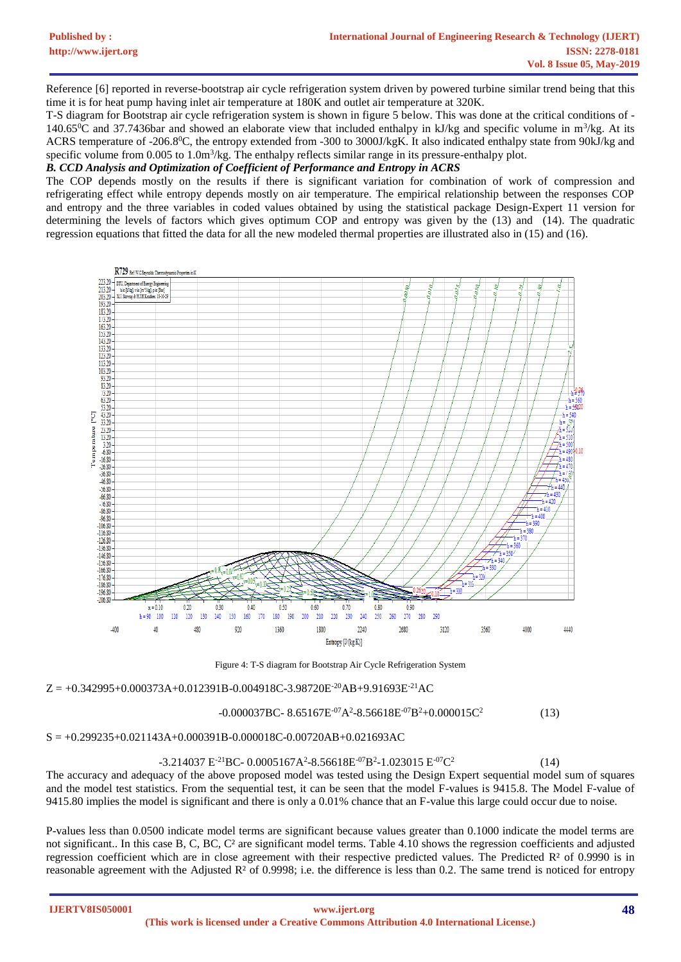Reference [6] reported in reverse-bootstrap air cycle refrigeration system driven by powered turbine similar trend being that this time it is for heat pump having inlet air temperature at 180K and outlet air temperature at 320K.

T-S diagram for Bootstrap air cycle refrigeration system is shown in figure 5 below. This was done at the critical conditions of - 140.65 $^{\circ}$ C and 37.7436bar and showed an elaborate view that included enthalpy in kJ/kg and specific volume in m<sup>3</sup>/kg. At its ACRS temperature of -206.8<sup>0</sup>C, the entropy extended from -300 to 3000J/kgK. It also indicated enthalpy state from 90kJ/kg and specific volume from 0.005 to 1.0m<sup>3</sup>/kg. The enthalpy reflects similar range in its pressure-enthalpy plot.

# *B. CCD Analysis and Optimization of Coefficient of Performance and Entropy in ACRS*

The COP depends mostly on the results if there is significant variation for combination of work of compression and refrigerating effect while entropy depends mostly on air temperature. The empirical relationship between the responses COP and entropy and the three variables in coded values obtained by using the statistical package Design-Expert 11 version for determining the levels of factors which gives optimum COP and entropy was given by the (13) and (14). The quadratic regression equations that fitted the data for all the new modeled thermal properties are illustrated also in (15) and (16).



Figure 4: T-S diagram for Bootstrap Air Cycle Refrigeration System

 $Z = +0.342995+0.000373A+0.012391B-0.004918C-3.98720E<sup>-20</sup>AB+9.91693E<sup>-21</sup>AC$ 

#### $-0.000037\text{BC}$  -  $8.65167\text{E}$ <sup>-07</sup>A<sup>2</sup>-8.56618E<sup>-07</sup>B<sup>2</sup>+0.000015C<sup>2</sup> (13)

 $S = +0.299235+0.021143A+0.000391B-0.000018C-0.00720AB+0.021693AC$ 

# $-3.214037$  E<sup>-21</sup>BC- 0.0005167A<sup>2</sup>-8.56618E<sup>-07</sup>B<sup>2</sup>-1.023015 E<sup>-07</sup>C<sup>2</sup>

 (14) The accuracy and adequacy of the above proposed model was tested using the Design Expert sequential model sum of squares and the model test statistics. From the sequential test, it can be seen that the model F-values is 9415.8. The Model F-value of 9415.80 implies the model is significant and there is only a 0.01% chance that an F-value this large could occur due to noise.

P-values less than 0.0500 indicate model terms are significant because values greater than 0.1000 indicate the model terms are not significant.. In this case B, C, BC, C<sup>2</sup> are significant model terms. Table 4.10 shows the regression coefficients and adjusted regression coefficient which are in close agreement with their respective predicted values. The Predicted R² of 0.9990 is in reasonable agreement with the Adjusted R² of 0.9998; i.e. the difference is less than 0.2. The same trend is noticed for entropy

**IJERTV8IS050001**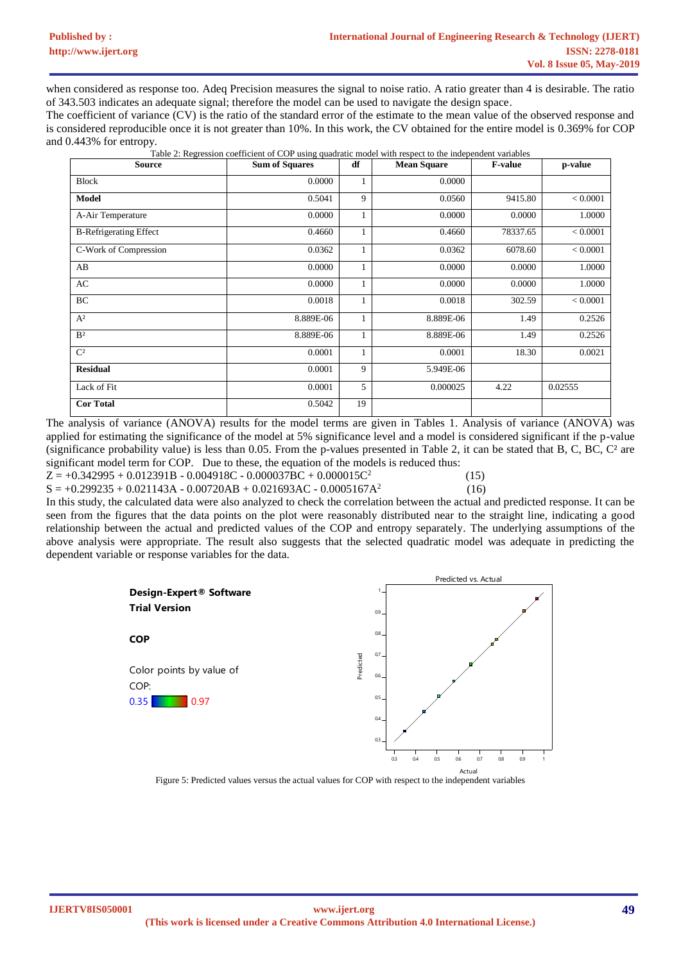when considered as response too. Adeq Precision measures the signal to noise ratio. A ratio greater than 4 is desirable. The ratio of 343.503 indicates an adequate signal; therefore the model can be used to navigate the design space.

The coefficient of variance (CV) is the ratio of the standard error of the estimate to the mean value of the observed response and is considered reproducible once it is not greater than 10%. In this work, the CV obtained for the entire model is 0.369% for COP and 0.443% for entropy.

Table 2: Regression coefficient of COP using quadratic model with respect to the independent variables

| <b>Source</b>                 | <b>Sum of Squares</b> | df | <b>Mean Square</b> | <b>F-value</b> | p-value  |
|-------------------------------|-----------------------|----|--------------------|----------------|----------|
| <b>Block</b>                  | 0.0000                | 1  | 0.0000             |                |          |
| <b>Model</b>                  | 0.5041                | 9  | 0.0560             | 9415.80        | < 0.0001 |
| A-Air Temperature             | 0.0000                | 1  | 0.0000             | 0.0000         | 1.0000   |
| <b>B-Refrigerating Effect</b> | 0.4660                | 1  | 0.4660             | 78337.65       | < 0.0001 |
| C-Work of Compression         | 0.0362                | 1  | 0.0362             | 6078.60        | < 0.0001 |
| AB                            | 0.0000                | 1  | 0.0000             | 0.0000         | 1.0000   |
| AC                            | 0.0000                | 1  | 0.0000             | 0.0000         | 1.0000   |
| BC                            | 0.0018                | 1  | 0.0018             | 302.59         | < 0.0001 |
| $A^2$                         | 8.889E-06             | 1  | 8.889E-06          | 1.49           | 0.2526   |
| B <sup>2</sup>                | 8.889E-06             | 1  | 8.889E-06          | 1.49           | 0.2526   |
| C <sup>2</sup>                | 0.0001                | 1  | 0.0001             | 18.30          | 0.0021   |
| <b>Residual</b>               | 0.0001                | 9  | 5.949E-06          |                |          |
| Lack of Fit                   | 0.0001                | 5  | 0.000025           | 4.22           | 0.02555  |
| <b>Cor Total</b>              | 0.5042                | 19 |                    |                |          |

The analysis of variance (ANOVA) results for the model terms are given in Tables 1. Analysis of variance (ANOVA) was applied for estimating the significance of the model at 5% significance level and a model is considered significant if the p-value (significance probability value) is less than 0.05. From the p-values presented in Table 2, it can be stated that B, C, BC, C² are significant model term for COP. Due to these, the equation of the models is reduced thus:

 $Z = +0.342995 + 0.012391B - 0.004918C - 0.000037BC + 0.000015C^2$  $S = +0.299235 + 0.021143A - 0.00720AB + 0.021693AC - 0.0005167A^2$   (15) (16)

In this study, the calculated data were also analyzed to check the correlation between the actual and predicted response. It can be seen from the figures that the data points on the plot were reasonably distributed near to the straight line, indicating a good relationship between the actual and predicted values of the COP and entropy separately. The underlying assumptions of the above analysis were appropriate. The result also suggests that the selected quadratic model was adequate in predicting the dependent variable or response variables for the data.



Figure 5: Predicted values versus the actual values for COP with respect to the independent variables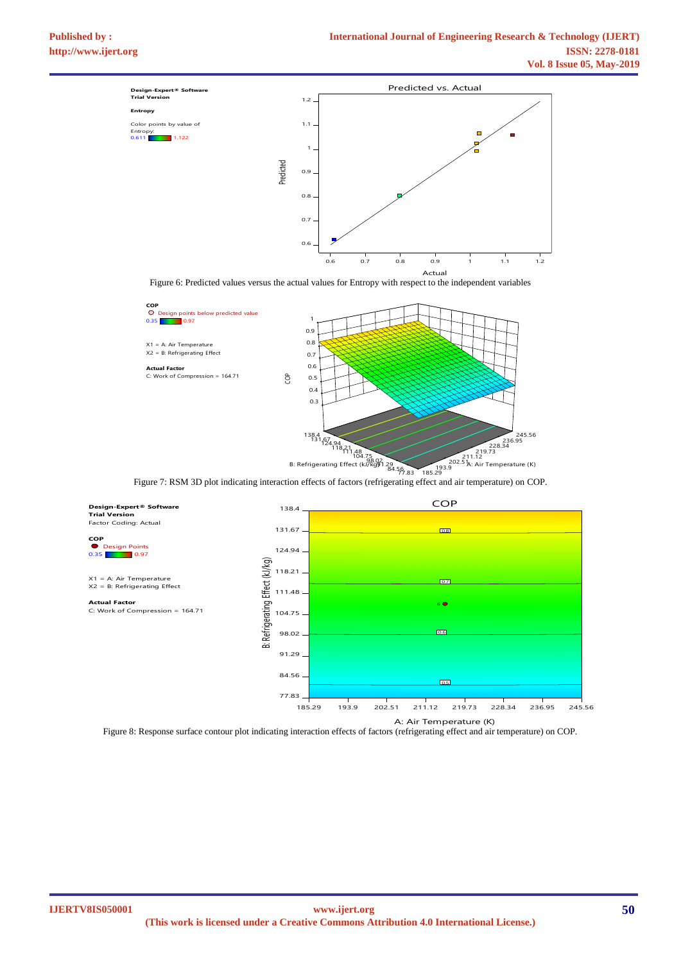

Actual<br>Figure 6: Predicted values versus the actual values for Entropy with respect to the independent variables Factor Coding: Actual



Figure 7: RSM 3D plot indicating interaction effects of factors (refrigerating effect and air temperature) on COP.



Figure 8: Response surface contour plot indicating interaction effects of factors (refrigerating effect and air temperature) on COP.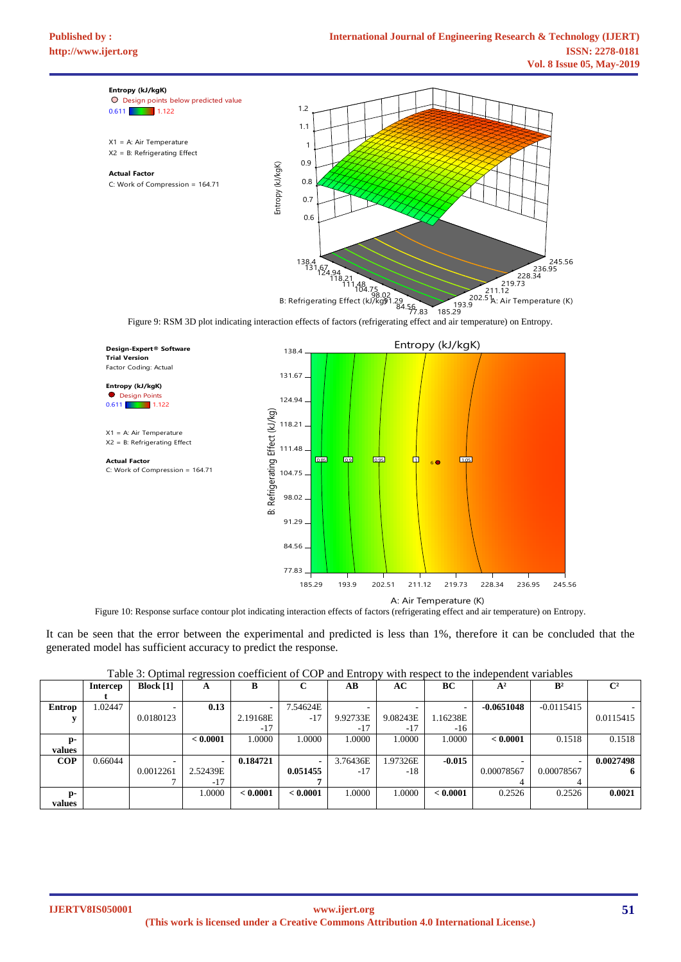

Figure 10: Response surface contour plot indicating interaction effects of factors (refrigerating effect and air temperature) on Entropy. A: Air Temperature (K)

It can be seen that the error between the experimental and predicted is less than 1%, therefore it can be concluded that the generated model has sufficient accuracy to predict the response.

|  | Table 3: Optimal regression coefficient of COP and Entropy with respect to the independent variables |  |  |  |  |
|--|------------------------------------------------------------------------------------------------------|--|--|--|--|
|  |                                                                                                      |  |  |  |  |

| - - - - - -<br>$\varepsilon$ |                 |                    |          |          |          | .<br>--------- |          |          |              |                |                |
|------------------------------|-----------------|--------------------|----------|----------|----------|----------------|----------|----------|--------------|----------------|----------------|
|                              | <b>Intercep</b> | <b>Block</b> $[1]$ | A        | в        |          | AВ             | AC       | BC       | $A^2$        | $\mathbf{B}^2$ | $\mathbb{C}^2$ |
|                              |                 |                    |          |          |          |                |          |          |              |                |                |
| Entrop                       | 1.02447         |                    | 0.13     |          | 7.54624E |                |          |          | $-0.0651048$ | $-0.0115415$   |                |
|                              |                 | 0.0180123          |          | 2.19168E | $-17$    | 9.92733E       | 9.08243E | 1.16238E |              |                | 0.0115415      |
|                              |                 |                    |          | $-17$    |          | $-17$          | $-17$    | -16      |              |                |                |
| $D -$                        |                 |                    | < 0.0001 | 1.0000   | 1.0000   | 1.0000         | 1.0000   | 1.0000   | < 0.0001     | 0.1518         | 0.1518         |
| values                       |                 |                    |          |          |          |                |          |          |              |                |                |
| <b>COP</b>                   | 0.66044         |                    |          | 0.184721 |          | 3.76436E       | 1.97326E | $-0.015$ |              |                | 0.0027498      |
|                              |                 | 0.0012261          | 2.52439E |          | 0.051455 | $-17$          | $-18$    |          | 0.00078567   | 0.00078567     | -6             |
|                              |                 |                    | $-17$    |          |          |                |          |          | 4            |                |                |
| D-                           |                 |                    | 1.0000   | < 0.0001 | < 0.0001 | 1.0000         | 1.0000   | < 0.0001 | 0.2526       | 0.2526         | 0.0021         |
| values                       |                 |                    |          |          |          |                |          |          |              |                |                |